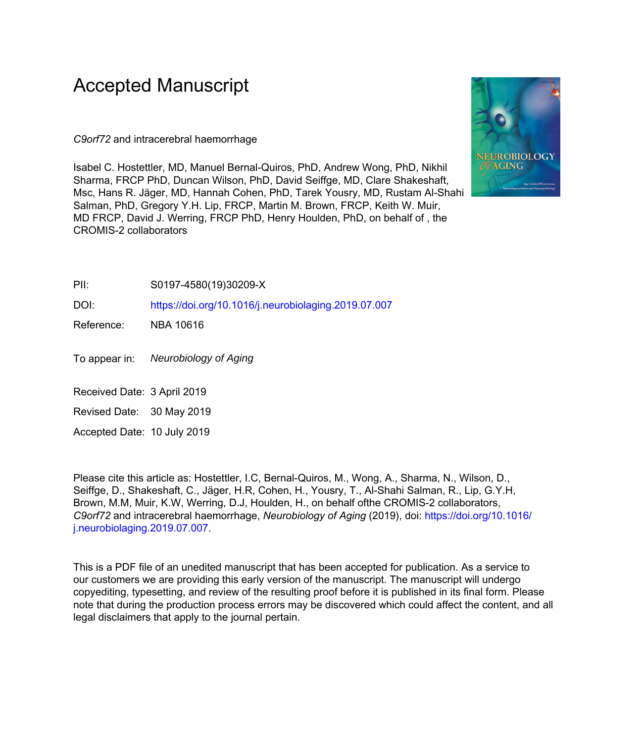# Accepted Manuscript

*C9orf72* and intracerebral haemorrhage

Isabel C. Hostettler, MD, Manuel Bernal-Quiros, PhD, Andrew Wong, PhD, Nikhil Sharma, FRCP PhD, Duncan Wilson, PhD, David Seiffge, MD, Clare Shakeshaft, Msc, Hans R. Jäger, MD, Hannah Cohen, PhD, Tarek Yousry, MD, Rustam Al-Shahi Salman, PhD, Gregory Y.H. Lip, FRCP, Martin M. Brown, FRCP, Keith W. Muir, MD FRCP, David J. Werring, FRCP PhD, Henry Houlden, PhD, on behalf of , the CROMIS-2 collaborators



#### PII: S0197-4580(19)30209-X

DOI: <https://doi.org/10.1016/j.neurobiolaging.2019.07.007>

Reference: NBA 10616

To appear in: Neurobiology of Aging

Received Date: 3 April 2019

Revised Date: 30 May 2019

Accepted Date: 10 July 2019

Please cite this article as: Hostettler, I.C, Bernal-Quiros, M., Wong, A., Sharma, N., Wilson, D., Seiffge, D., Shakeshaft, C., Jäger, H.R, Cohen, H., Yousry, T., Al-Shahi Salman, R., Lip, G.Y.H, Brown, M.M, Muir, K.W, Werring, D.J, Houlden, H., on behalf ofthe CROMIS-2 collaborators, *C9orf72* and intracerebral haemorrhage, *Neurobiology of Aging* (2019), doi: [https://doi.org/10.1016/](https://doi.org/10.1016/j.neurobiolaging.2019.07.007) [j.neurobiolaging.2019.07.007.](https://doi.org/10.1016/j.neurobiolaging.2019.07.007)

This is a PDF file of an unedited manuscript that has been accepted for publication. As a service to our customers we are providing this early version of the manuscript. The manuscript will undergo copyediting, typesetting, and review of the resulting proof before it is published in its final form. Please note that during the production process errors may be discovered which could affect the content, and all legal disclaimers that apply to the journal pertain.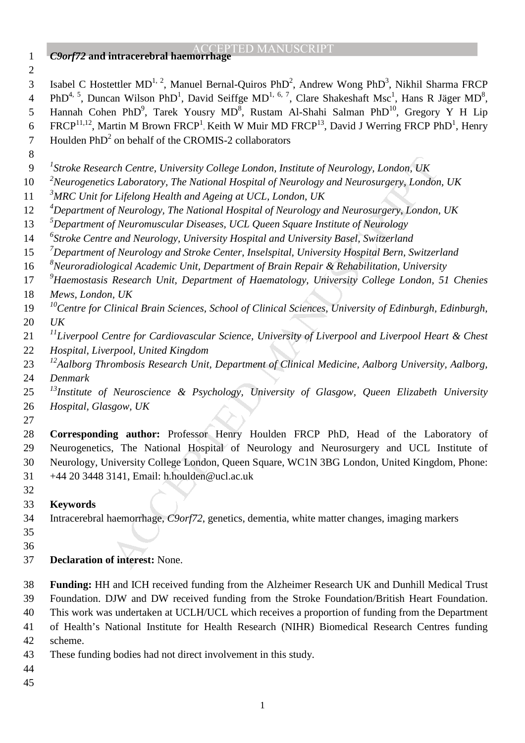- ACCEPTED MANUSCRIPT *C9orf72* **and intracerebral haemorrhage**  3 Isabel C Hostettler MD<sup>1, 2</sup>, Manuel Bernal-Quiros PhD<sup>2</sup>, Andrew Wong PhD<sup>3</sup>, Nikhil Sharma FRCP 4 PhD<sup>4, 5</sup>, Duncan Wilson PhD<sup>1</sup>, David Seiffge MD<sup>1, 6, 7</sup>, Clare Shakeshaft Msc<sup>1</sup>, Hans R Jäger MD<sup>8</sup>, 5 Hannah Cohen PhD<sup>9</sup>, Tarek Yousry MD<sup>8</sup>, Rustam Al-Shahi Salman PhD<sup>10</sup>, Gregory Y H Lip 6 FRCP<sup>11,12</sup>, Martin M Brown FRCP<sup>1</sup>, Keith W Muir MD FRCP<sup>13</sup>, David J Werring FRCP PhD<sup>1</sup>, Henry 7 Houlden  $PhD<sup>2</sup>$  on behalf of the CROMIS-2 collaborators
- 
- *1 Stroke Research Centre, University College London, Institute of Neurology, London, UK*
- *2 Neurogenetics Laboratory, The National Hospital of Neurology and Neurosurgery, London, UK*
- *3 MRC Unit for Lifelong Health and Ageing at UCL, London, UK*
- *4 Department of Neurology, The National Hospital of Neurology and Neurosurgery, London, UK*
- *5 Department of Neuromuscular Diseases, UCL Queen Square Institute of Neurology*
- *6 Stroke Centre and Neurology, University Hospital and University Basel, Switzerland*
- *7 Department of Neurology and Stroke Center, Inselspital, University Hospital Bern, Switzerland*
- *8 Neuroradiological Academic Unit, Department of Brain Repair & Rehabilitation, University*
- *9 Haemostasis Research Unit, Department of Haematology, University College London, 51 Chenies Mews, London, UK*
- *<sup>10</sup> Centre for Clinical Brain Sciences, School of Clinical Sciences, University of Edinburgh, Edinburgh, UK*
- *<sup>11</sup> Liverpool Centre for Cardiovascular Science, University of Liverpool and Liverpool Heart & Chest*
- *Hospital, Liverpool, United Kingdom*
- *<sup>12</sup> Aalborg Thrombosis Research Unit, Department of Clinical Medicine, Aalborg University, Aalborg, Denmark*
- *<sup>13</sup> Institute of Neuroscience & Psychology, University of Glasgow, Queen Elizabeth University Hospital, Glasgow, UK*
- 

rch Centre, University College London, Institute of Neurology, London, UK<br>
Is Laboratory, The National Hospital of Neurology and Neurosurgery, London<br>
1 Efelom, Health and Ageing at UCL, London, UK<br>
1 Efelom, Health and Ag **Corresponding author:** Professor Henry Houlden FRCP PhD, Head of the Laboratory of 29 Neurogenetics, The National Hospital of Neurology and Neurosurgery and UCL Institute of 30 Neurology, University College London, Queen Square, WC1N 3BG London, United Kingdom, Phone: 31 +44 20 3448 3141, Email: h.houlden@ucl.ac.uk

- 
- **Keywords**

34 Intracerebral haemorrhage, *C9orf72*, genetics, dementia, white matter changes, imaging markers

- 
- **Declaration of interest:** None.

**Funding:** HH and ICH received funding from the Alzheimer Research UK and Dunhill Medical Trust 39 Foundation. DJW and DW received funding from the Stroke Foundation/British Heart Foundation.

40 This work was undertaken at UCLH/UCL which receives a proportion of funding from the Department

41 of Health's National Institute for Health Research (NIHR) Biomedical Research Centres funding

- 42 scheme.
- 43 These funding bodies had not direct involvement in this study.
- 
-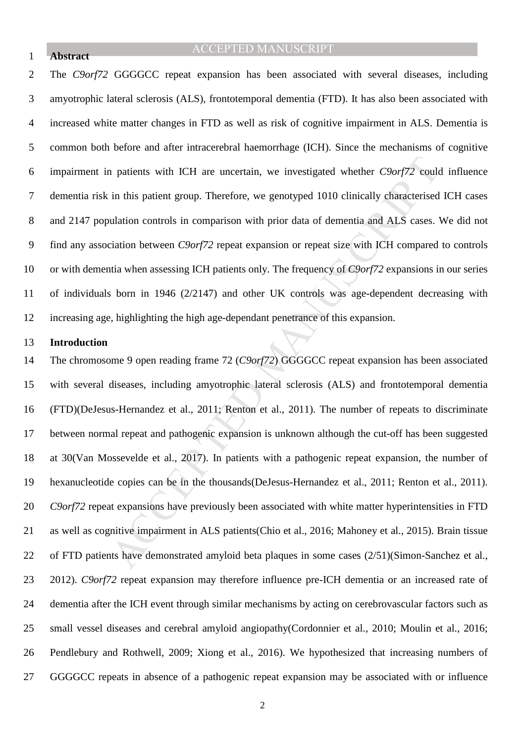### 1 **Abstract**

# ACCEPTED MANUSCRIPT

2 The *C9orf72* GGGGCC repeat expansion has been associated with several diseases, including 3 amyotrophic lateral sclerosis (ALS), frontotemporal dementia (FTD). It has also been associated with 4 increased white matter changes in FTD as well as risk of cognitive impairment in ALS. Dementia is 5 common both before and after intracerebral haemorrhage (ICH). Since the mechanisms of cognitive 6 impairment in patients with ICH are uncertain, we investigated whether *C9orf72* could influence 7 dementia risk in this patient group. Therefore, we genotyped 1010 clinically characterised ICH cases 8 and 2147 population controls in comparison with prior data of dementia and ALS cases. We did not 9 find any association between *C9orf72* repeat expansion or repeat size with ICH compared to controls 10 or with dementia when assessing ICH patients only. The frequency of *C9orf72* expansions in our series 11 of individuals born in 1946 (2/2147) and other UK controls was age-dependent decreasing with 12 increasing age, highlighting the high age-dependant penetrance of this expansion.

#### 13 **Introduction**

a patients with ICH are uncertain, we investigated whether  $C9or/72$  could in this patient group. Therefore, we genotyped 1010 clinically characterised ulation controls in comparison with prior data of dementia and ALS cas 14 The chromosome 9 open reading frame 72 (*C9orf72*) GGGGCC repeat expansion has been associated 15 with several diseases, including amyotrophic lateral sclerosis (ALS) and frontotemporal dementia 16 (FTD)(DeJesus-Hernandez et al., 2011; Renton et al., 2011). The number of repeats to discriminate 17 between normal repeat and pathogenic expansion is unknown although the cut-off has been suggested 18 at 30(Van Mossevelde et al., 2017). In patients with a pathogenic repeat expansion, the number of 19 hexanucleotide copies can be in the thousands(DeJesus-Hernandez et al., 2011; Renton et al., 2011). 20 *C9orf72* repeat expansions have previously been associated with white matter hyperintensities in FTD 21 as well as cognitive impairment in ALS patients(Chio et al., 2016; Mahoney et al., 2015). Brain tissue 22 of FTD patients have demonstrated amyloid beta plaques in some cases (2/51)(Simon-Sanchez et al., 23 2012). *C9orf72* repeat expansion may therefore influence pre-ICH dementia or an increased rate of 24 dementia after the ICH event through similar mechanisms by acting on cerebrovascular factors such as 25 small vessel diseases and cerebral amyloid angiopathy(Cordonnier et al., 2010; Moulin et al., 2016; 26 Pendlebury and Rothwell, 2009; Xiong et al., 2016). We hypothesized that increasing numbers of 27 GGGGCC repeats in absence of a pathogenic repeat expansion may be associated with or influence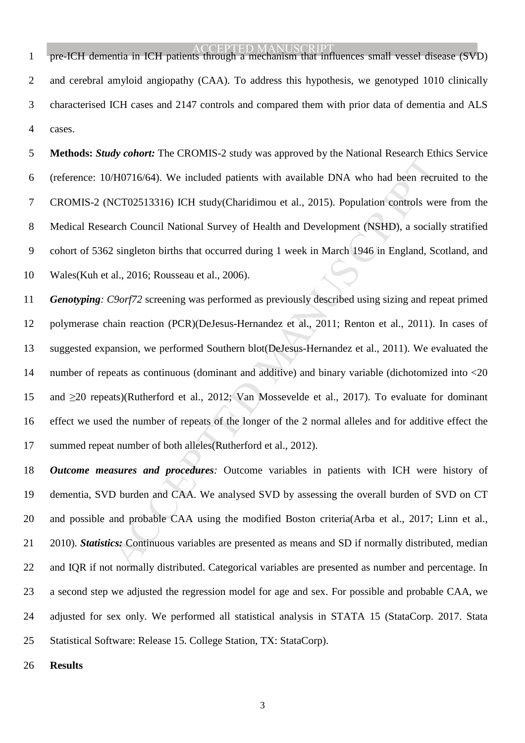1 pre-ICH dementia in ICH patients through a mechanism that influences small vessel disease (SVD) 2 and cerebral amyloid angiopathy (CAA). To address this hypothesis, we genotyped 1010 clinically 3 characterised ICH cases and 2147 controls and compared them with prior data of dementia and ALS 4 cases.

5 **Methods:** *Study cohort:* The CROMIS-2 study was approved by the National Research Ethics Service 6 (reference: 10/H0716/64). We included patients with available DNA who had been recruited to the 7 CROMIS-2 (NCT02513316) ICH study(Charidimou et al., 2015). Population controls were from the 8 Medical Research Council National Survey of Health and Development (NSHD), a socially stratified 9 cohort of 5362 singleton births that occurred during 1 week in March 1946 in England, Scotland, and 10 Wales(Kuh et al., 2016; Rousseau et al., 2006).

any control. The CROMIST 2 states was approached by the Franconia Research Earth (H10716/64). We included patients with available DNA who had been recreated and Development (NSHD), a social 2 singleton births that occurred 11 *Genotyping: C9orf72* screening was performed as previously described using sizing and repeat primed 12 polymerase chain reaction (PCR)(DeJesus-Hernandez et al., 2011; Renton et al., 2011). In cases of 13 suggested expansion, we performed Southern blot(DeJesus-Hernandez et al., 2011). We evaluated the 14 number of repeats as continuous (dominant and additive) and binary variable (dichotomized into <20 15 and ≥20 repeats)(Rutherford et al., 2012; Van Mossevelde et al., 2017). To evaluate for dominant 16 effect we used the number of repeats of the longer of the 2 normal alleles and for additive effect the 17 summed repeat number of both alleles(Rutherford et al., 2012).

18 *Outcome measures and procedures:* Outcome variables in patients with ICH were history of 19 dementia, SVD burden and CAA. We analysed SVD by assessing the overall burden of SVD on CT 20 and possible and probable CAA using the modified Boston criteria(Arba et al., 2017; Linn et al., 21 2010). *Statistics:* Continuous variables are presented as means and SD if normally distributed, median 22 and IQR if not normally distributed. Categorical variables are presented as number and percentage. In 23 a second step we adjusted the regression model for age and sex. For possible and probable CAA, we 24 adjusted for sex only. We performed all statistical analysis in STATA 15 (StataCorp. 2017. Stata 25 Statistical Software: Release 15. College Station, TX: StataCorp).

26 **Results**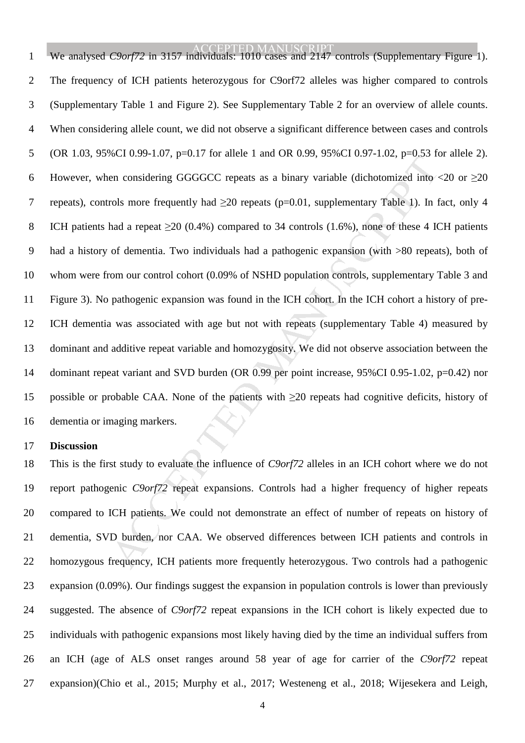Section 2007 (100 and the Fault of 0.22, 2006) (100 and the CH and Section 2008 (100 and the Fault of 0.22, 2006) (100 and the CH and Section 2016 (1.6%), none of these 1 are orbits more frequently had  $\geq$ 20 repeats (p= ACCEPTED MANUSCRIPT 1 We analysed *C9orf72* in 3157 individuals: 1010 cases and 2147 controls (Supplementary Figure 1). 2 The frequency of ICH patients heterozygous for C9orf72 alleles was higher compared to controls 3 (Supplementary Table 1 and Figure 2). See Supplementary Table 2 for an overview of allele counts. 4 When considering allele count, we did not observe a significant difference between cases and controls 5 (OR 1.03, 95%CI 0.99-1.07, p=0.17 for allele 1 and OR 0.99, 95%CI 0.97-1.02, p=0.53 for allele 2). 6 However, when considering GGGGCC repeats as a binary variable (dichotomized into  $\langle 20 \text{ or } \geq 20 \rangle$ 7 repeats), controls more frequently had ≥20 repeats (p=0.01, supplementary Table 1). In fact, only 4 8 ICH patients had a repeat  $\geq$ 20 (0.4%) compared to 34 controls (1.6%), none of these 4 ICH patients 9 had a history of dementia. Two individuals had a pathogenic expansion (with >80 repeats), both of 10 whom were from our control cohort (0.09% of NSHD population controls, supplementary Table 3 and 11 Figure 3). No pathogenic expansion was found in the ICH cohort. In the ICH cohort a history of pre-12 ICH dementia was associated with age but not with repeats (supplementary Table 4) measured by 13 dominant and additive repeat variable and homozygosity. We did not observe association between the 14 dominant repeat variant and SVD burden (OR 0.99 per point increase, 95%CI 0.95-1.02, p=0.42) nor 15 possible or probable CAA. None of the patients with ≥20 repeats had cognitive deficits, history of 16 dementia or imaging markers.

#### 17 **Discussion**

18 This is the first study to evaluate the influence of *C9orf72* alleles in an ICH cohort where we do not 19 report pathogenic *C9orf72* repeat expansions. Controls had a higher frequency of higher repeats 20 compared to ICH patients. We could not demonstrate an effect of number of repeats on history of 21 dementia, SVD burden, nor CAA. We observed differences between ICH patients and controls in 22 homozygous frequency, ICH patients more frequently heterozygous. Two controls had a pathogenic 23 expansion (0.09%). Our findings suggest the expansion in population controls is lower than previously 24 suggested. The absence of *C9orf72* repeat expansions in the ICH cohort is likely expected due to 25 individuals with pathogenic expansions most likely having died by the time an individual suffers from 26 an ICH (age of ALS onset ranges around 58 year of age for carrier of the *C9orf72* repeat 27 expansion)(Chio et al., 2015; Murphy et al., 2017; Westeneng et al., 2018; Wijesekera and Leigh,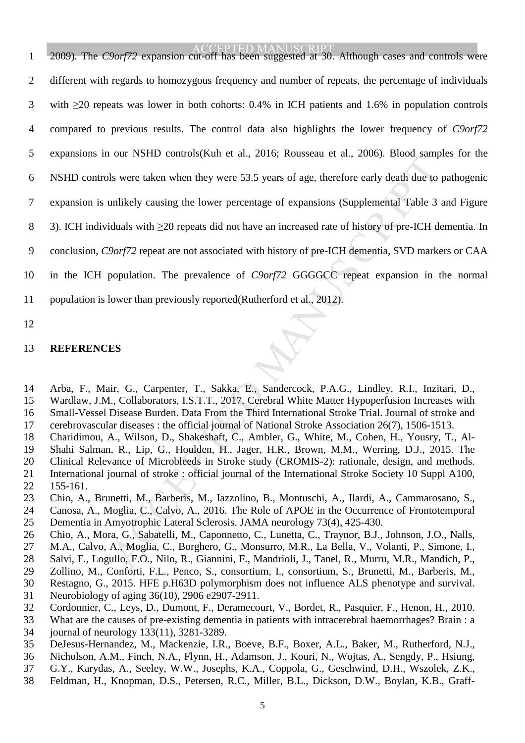Manuscript Controls, the there is a correlation of the method, Manuscript Save Theory. Note that the pointing the lower percentage of expansions (Supplemental Table 3 duals with  $\geq$ 20 repeats did not have an increased r ACCEPTED MANUSCRIPT 1 2009). The *C9orf72* expansion cut-off has been suggested at 30. Although cases and controls were 2 different with regards to homozygous frequency and number of repeats, the percentage of individuals 3 with ≥20 repeats was lower in both cohorts: 0.4% in ICH patients and 1.6% in population controls 4 compared to previous results. The control data also highlights the lower frequency of *C9orf72* 5 expansions in our NSHD controls(Kuh et al., 2016; Rousseau et al., 2006). Blood samples for the 6 NSHD controls were taken when they were 53.5 years of age, therefore early death due to pathogenic 7 expansion is unlikely causing the lower percentage of expansions (Supplemental Table 3 and Figure 8 3). ICH individuals with ≥20 repeats did not have an increased rate of history of pre-ICH dementia. In 9 conclusion, *C9orf72* repeat are not associated with history of pre-ICH dementia, SVD markers or CAA 10 in the ICH population. The prevalence of *C9orf72* GGGGCC repeat expansion in the normal 11 population is lower than previously reported(Rutherford et al., 2012).

12

# 13 **REFERENCES**

14 Arba, F., Mair, G., Carpenter, T., Sakka, E., Sandercock, P.A.G., Lindley, R.I., Inzitari, D., 15 Wardlaw, J.M., Collaborators, I.S.T.T., 2017. Cerebral White Matter Hypoperfusion Increases with 16 Small-Vessel Disease Burden. Data From the Third International Stroke Trial. Journal of stroke and

- 17 cerebrovascular diseases : the official journal of National Stroke Association 26(7), 1506-1513.
- 18 Charidimou, A., Wilson, D., Shakeshaft, C., Ambler, G., White, M., Cohen, H., Yousry, T., Al-
- 19 Shahi Salman, R., Lip, G., Houlden, H., Jager, H.R., Brown, M.M., Werring, D.J., 2015. The
- 20 Clinical Relevance of Microbleeds in Stroke study (CROMIS-2): rationale, design, and methods.
- 21 International journal of stroke : official journal of the International Stroke Society 10 Suppl A100,
- 22 155-161.
- 23 Chio, A., Brunetti, M., Barberis, M., Iazzolino, B., Montuschi, A., Ilardi, A., Cammarosano, S.,
- 24 Canosa, A., Moglia, C., Calvo, A., 2016. The Role of APOE in the Occurrence of Frontotemporal
- 25 Dementia in Amyotrophic Lateral Sclerosis. JAMA neurology 73(4), 425-430.
- 26 Chio, A., Mora, G., Sabatelli, M., Caponnetto, C., Lunetta, C., Traynor, B.J., Johnson, J.O., Nalls,
- 27 M.A., Calvo, A., Moglia, C., Borghero, G., Monsurro, M.R., La Bella, V., Volanti, P., Simone, I., 28 Salvi, F., Logullo, F.O., Nilo, R., Giannini, F., Mandrioli, J., Tanel, R., Murru, M.R., Mandich, P.,
- 29 Zollino, M., Conforti, F.L., Penco, S., consortium, I., consortium, S., Brunetti, M., Barberis, M.,
- 30 Restagno, G., 2015. HFE p.H63D polymorphism does not influence ALS phenotype and survival.
- 31 Neurobiology of aging 36(10), 2906 e2907-2911.
- 32 Cordonnier, C., Leys, D., Dumont, F., Deramecourt, V., Bordet, R., Pasquier, F., Henon, H., 2010.
- 33 What are the causes of pre-existing dementia in patients with intracerebral haemorrhages? Brain : a
- 34 journal of neurology 133(11), 3281-3289.
- 35 DeJesus-Hernandez, M., Mackenzie, I.R., Boeve, B.F., Boxer, A.L., Baker, M., Rutherford, N.J.,
- 36 Nicholson, A.M., Finch, N.A., Flynn, H., Adamson, J., Kouri, N., Wojtas, A., Sengdy, P., Hsiung,
- 37 G.Y., Karydas, A., Seeley, W.W., Josephs, K.A., Coppola, G., Geschwind, D.H., Wszolek, Z.K.,
- 38 Feldman, H., Knopman, D.S., Petersen, R.C., Miller, B.L., Dickson, D.W., Boylan, K.B., Graff-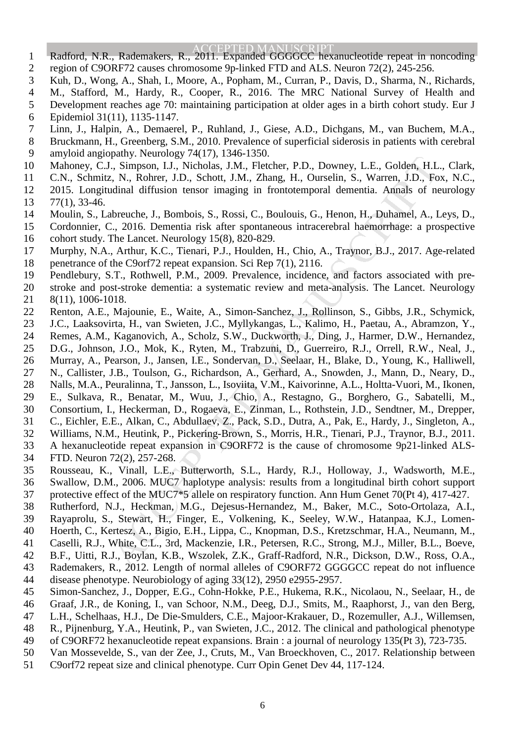- ACCEPTED MANUSCRIPT 1 Radford, N.R., Rademakers, R., 2011. Expanded GGGGCC hexanucleotide repeat in noncoding
- 2 region of C9ORF72 causes chromosome 9p-linked FTD and ALS. Neuron 72(2), 245-256.
- 3 Kuh, D., Wong, A., Shah, I., Moore, A., Popham, M., Curran, P., Davis, D., Sharma, N., Richards,
- 4 M., Stafford, M., Hardy, R., Cooper, R., 2016. The MRC National Survey of Health and
- 5 Development reaches age 70: maintaining participation at older ages in a birth cohort study. Eur J
- 6 Epidemiol 31(11), 1135-1147.
- 7 Linn, J., Halpin, A., Demaerel, P., Ruhland, J., Giese, A.D., Dichgans, M., van Buchem, M.A.,
- 8 Bruckmann, H., Greenberg, S.M., 2010. Prevalence of superficial siderosis in patients with cerebral 9 amyloid angiopathy. Neurology 74(17), 1346-1350.
- 10 Mahoney, C.J., Simpson, I.J., Nicholas, J.M., Fletcher, P.D., Downey, L.E., Golden, H.L., Clark,
- 11 C.N., Schmitz, N., Rohrer, J.D., Schott, J.M., Zhang, H., Ourselin, S., Warren, J.D., Fox, N.C.,
- 12 2015. Longitudinal diffusion tensor imaging in frontotemporal dementia. Annals of neurology
- 13 77(1), 33-46.
- 14 Moulin, S., Labreuche, J., Bombois, S., Rossi, C., Boulouis, G., Henon, H., Duhamel, A., Leys, D.,
- 15 Cordonnier, C., 2016. Dementia risk after spontaneous intracerebral haemorrhage: a prospective 16 cohort study. The Lancet. Neurology 15(8), 820-829.
- MANUSCRIPT ACCEPTED 17 Murphy, N.A., Arthur, K.C., Tienari, P.J., Houlden, H., Chio, A., Traynor, B.J., 2017. Age-related 18 penetrance of the C9orf72 repeat expansion. Sci Rep 7(1), 2116.
- 19 Pendlebury, S.T., Rothwell, P.M., 2009. Prevalence, incidence, and factors associated with pre-
- 20 stroke and post-stroke dementia: a systematic review and meta-analysis. The Lancet. Neurology
- 21 8(11), 1006-1018.
- 22 Renton, A.E., Majounie, E., Waite, A., Simon-Sanchez, J., Rollinson, S., Gibbs, J.R., Schymick,
- 23 J.C., Laaksovirta, H., van Swieten, J.C., Myllykangas, L., Kalimo, H., Paetau, A., Abramzon, Y., 24 Remes, A.M., Kaganovich, A., Scholz, S.W., Duckworth, J., Ding, J., Harmer, D.W., Hernandez,
- 25 D.G., Johnson, J.O., Mok, K., Ryten, M., Trabzuni, D., Guerreiro, R.J., Orrell, R.W., Neal, J.,
- 26 Murray, A., Pearson, J., Jansen, I.E., Sondervan, D., Seelaar, H., Blake, D., Young, K., Halliwell,
- 27 N., Callister, J.B., Toulson, G., Richardson, A., Gerhard, A., Snowden, J., Mann, D., Neary, D.,
- 28 Nalls, M.A., Peuralinna, T., Jansson, L., Isoviita, V.M., Kaivorinne, A.L., Holtta-Vuori, M., Ikonen,
- 29 E., Sulkava, R., Benatar, M., Wuu, J., Chio, A., Restagno, G., Borghero, G., Sabatelli, M.,
- 30 Consortium, I., Heckerman, D., Rogaeva, E., Zinman, L., Rothstein, J.D., Sendtner, M., Drepper,
- 31 C., Eichler, E.E., Alkan, C., Abdullaev, Z., Pack, S.D., Dutra, A., Pak, E., Hardy, J., Singleton, A.,
- 32 Williams, N.M., Heutink, P., Pickering-Brown, S., Morris, H.R., Tienari, P.J., Traynor, B.J., 2011.
- 33 A hexanucleotide repeat expansion in C9ORF72 is the cause of chromosome 9p21-linked ALS-
- 34 FTD. Neuron 72(2), 257-268.
- 35 Rousseau, K., Vinall, L.E., Butterworth, S.L., Hardy, R.J., Holloway, J., Wadsworth, M.E., 36 Swallow, D.M., 2006. MUC7 haplotype analysis: results from a longitudinal birth cohort support
- 37 protective effect of the MUC7<sup>\*</sup>5 allele on respiratory function. Ann Hum Genet 70(Pt 4), 417-427.
- 38 Rutherford, N.J., Heckman, M.G., Dejesus-Hernandez, M., Baker, M.C., Soto-Ortolaza, A.I.,
- 39 Rayaprolu, S., Stewart, H., Finger, E., Volkening, K., Seeley, W.W., Hatanpaa, K.J., Lomen-
- 40 Hoerth, C., Kertesz, A., Bigio, E.H., Lippa, C., Knopman, D.S., Kretzschmar, H.A., Neumann, M., 41 Caselli, R.J., White, C.L., 3rd, Mackenzie, I.R., Petersen, R.C., Strong, M.J., Miller, B.L., Boeve,
- 42 B.F., Uitti, R.J., Boylan, K.B., Wszolek, Z.K., Graff-Radford, N.R., Dickson, D.W., Ross, O.A.,
- 43 Rademakers, R., 2012. Length of normal alleles of C9ORF72 GGGGCC repeat do not influence
- 44 disease phenotype. Neurobiology of aging 33(12), 2950 e2955-2957.
- 45 Simon-Sanchez, J., Dopper, E.G., Cohn-Hokke, P.E., Hukema, R.K., Nicolaou, N., Seelaar, H., de
- 46 Graaf, J.R., de Koning, I., van Schoor, N.M., Deeg, D.J., Smits, M., Raaphorst, J., van den Berg,
- 47 L.H., Schelhaas, H.J., De Die-Smulders, C.E., Majoor-Krakauer, D., Rozemuller, A.J., Willemsen,
- 48 R., Pijnenburg, Y.A., Heutink, P., van Swieten, J.C., 2012. The clinical and pathological phenotype
- 49 of C9ORF72 hexanucleotide repeat expansions. Brain : a journal of neurology 135(Pt 3), 723-735.
- 50 Van Mossevelde, S., van der Zee, J., Cruts, M., Van Broeckhoven, C., 2017. Relationship between
- 51 C9orf72 repeat size and clinical phenotype. Curr Opin Genet Dev 44, 117-124.